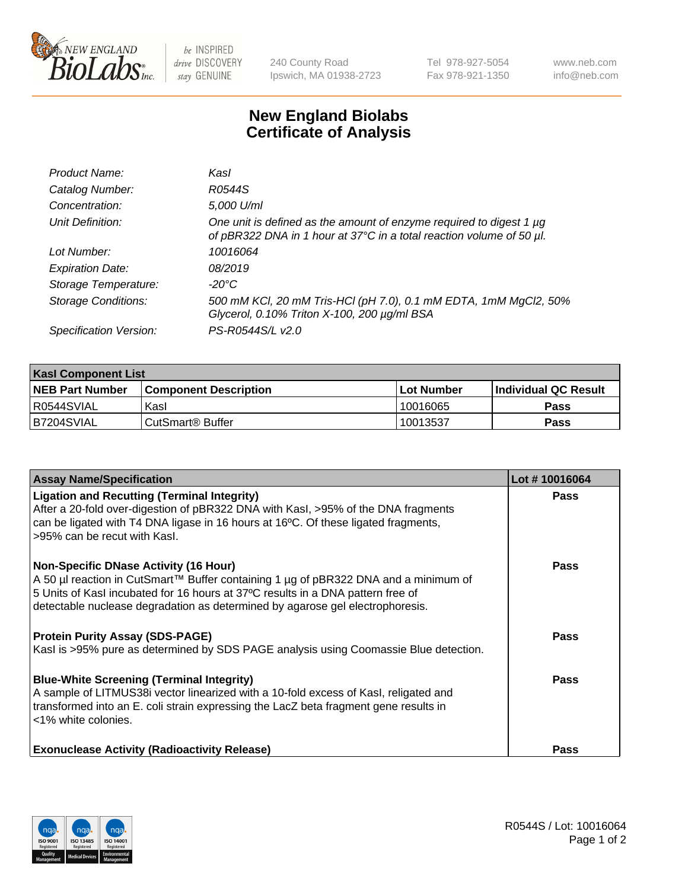

 $be$  INSPIRED drive DISCOVERY stay GENUINE

240 County Road Ipswich, MA 01938-2723 Tel 978-927-5054 Fax 978-921-1350 www.neb.com info@neb.com

## **New England Biolabs Certificate of Analysis**

| Product Name:              | Kasl                                                                                                                                        |
|----------------------------|---------------------------------------------------------------------------------------------------------------------------------------------|
| Catalog Number:            | R0544S                                                                                                                                      |
| Concentration:             | 5,000 U/ml                                                                                                                                  |
| Unit Definition:           | One unit is defined as the amount of enzyme required to digest 1 µg<br>of pBR322 DNA in 1 hour at 37°C in a total reaction volume of 50 µl. |
| Lot Number:                | 10016064                                                                                                                                    |
| <b>Expiration Date:</b>    | 08/2019                                                                                                                                     |
| Storage Temperature:       | $-20^{\circ}$ C                                                                                                                             |
| <b>Storage Conditions:</b> | 500 mM KCl, 20 mM Tris-HCl (pH 7.0), 0.1 mM EDTA, 1mM MgCl2, 50%<br>Glycerol, 0.10% Triton X-100, 200 µg/ml BSA                             |
| Specification Version:     | PS-R0544S/L v2.0                                                                                                                            |

| <b>Kasl Component List</b> |                              |                   |                             |  |  |
|----------------------------|------------------------------|-------------------|-----------------------------|--|--|
| <b>NEB Part Number</b>     | <b>Component Description</b> | <b>Lot Number</b> | <b>Individual QC Result</b> |  |  |
| I R0544SVIAL               | Kasl                         | 10016065          | <b>Pass</b>                 |  |  |
| B7204SVIAL                 | l CutSmart® Buffer           | 10013537          | Pass                        |  |  |

| <b>Assay Name/Specification</b>                                                                                                                                                                                                                                                                         | Lot #10016064 |
|---------------------------------------------------------------------------------------------------------------------------------------------------------------------------------------------------------------------------------------------------------------------------------------------------------|---------------|
| <b>Ligation and Recutting (Terminal Integrity)</b><br>After a 20-fold over-digestion of pBR322 DNA with Kasl, >95% of the DNA fragments<br>can be ligated with T4 DNA ligase in 16 hours at 16°C. Of these ligated fragments,<br>>95% can be recut with Kasl.                                           | Pass          |
| <b>Non-Specific DNase Activity (16 Hour)</b><br>A 50 µl reaction in CutSmart™ Buffer containing 1 µg of pBR322 DNA and a minimum of<br>5 Units of Kasl incubated for 16 hours at 37°C results in a DNA pattern free of<br>detectable nuclease degradation as determined by agarose gel electrophoresis. | <b>Pass</b>   |
| <b>Protein Purity Assay (SDS-PAGE)</b><br>Kasl is >95% pure as determined by SDS PAGE analysis using Coomassie Blue detection.                                                                                                                                                                          | <b>Pass</b>   |
| <b>Blue-White Screening (Terminal Integrity)</b><br>A sample of LITMUS38i vector linearized with a 10-fold excess of Kasl, religated and<br>transformed into an E. coli strain expressing the LacZ beta fragment gene results in<br><1% white colonies.                                                 | Pass          |
| <b>Exonuclease Activity (Radioactivity Release)</b>                                                                                                                                                                                                                                                     | <b>Pass</b>   |